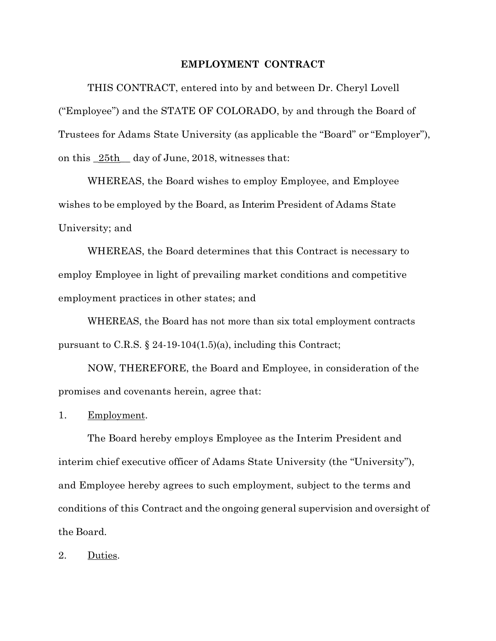## **EMPLOYMENT CONTRACT**

THIS CONTRACT, entered into by and between Dr. Cheryl Lovell ("Employee") and the STATE OF COLORADO, by and through the Board of Trustees for Adams State University (as applicable the "Board" or "Employer"), on this \_25th\_\_ day of June, 2018, witnesses that:

WHEREAS, the Board wishes to employ Employee, and Employee wishes to be employed by the Board, as Interim President of Adams State University; and

WHEREAS, the Board determines that this Contract is necessary to employ Employee in light of prevailing market conditions and competitive employment practices in other states; and

WHEREAS, the Board has not more than six total employment contracts pursuant to C.R.S. § 24-19-104(1.5)(a), including this Contract;

NOW, THEREFORE, the Board and Employee, in consideration of the promises and covenants herein, agree that:

1. Employment.

The Board hereby employs Employee as the Interim President and interim chief executive officer of Adams State University (the "University"), and Employee hereby agrees to such employment, subject to the terms and conditions of this Contract and the ongoing general supervision and oversight of the Board.

2. Duties.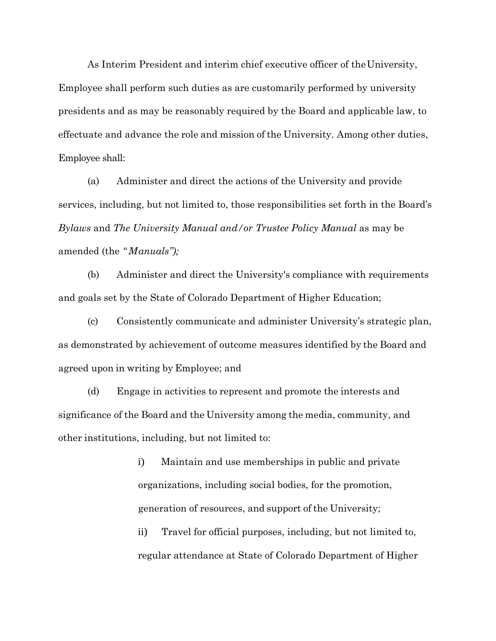As Interim President and interim chief executive officer of the University, Employee shall perform such duties as are customarily performed by university presidents and as may be reasonably required by the Board and applicable law, to effectuate and advance the role and mission of the University. Among other duties, Employee shall:

(a) Administer and direct the actions of the University and provide services, including, but not limited to, those responsibilities set forth in the Board's *Bylaws* and *The University Manual and/or Trustee Policy Manual* as may be amended (the "*Manuals");*

(b) Administer and direct the University's compliance with requirements and goals set by the State of Colorado Department of Higher Education;

(c) Consistently communicate and administer University's strategic plan, as demonstrated by achievement of outcome measures identified by the Board and agreed upon in writing by Employee; and

(d) Engage in activities to represent and promote the interests and significance of the Board and the University among the media, community, and other institutions, including, but not limited to:

> i) Maintain and use memberships in public and private organizations, including social bodies, for the promotion, generation of resources, and support of the University;

ii) Travel for official purposes, including, but not limited to, regular attendance at State of Colorado Department of Higher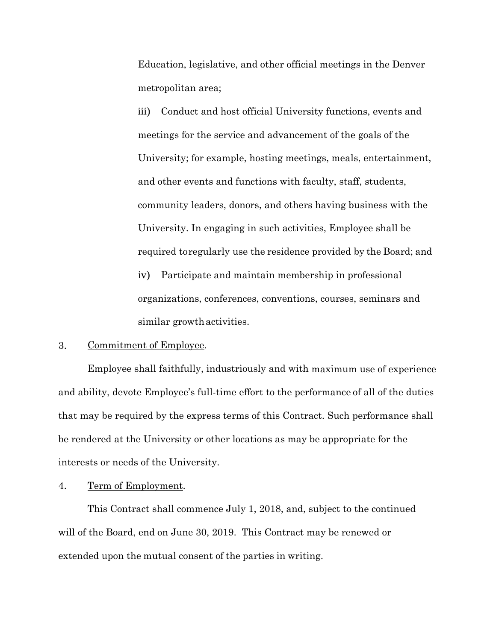Education, legislative, and other official meetings in the Denver metropolitan area;

iii) Conduct and host official University functions, events and meetings for the service and advancement of the goals of the University; for example, hosting meetings, meals, entertainment, and other events and functions with faculty, staff, students, community leaders, donors, and others having business with the University. In engaging in such activities, Employee shall be required toregularly use the residence provided by the Board; and

iv) Participate and maintain membership in professional organizations, conferences, conventions, courses, seminars and similar growthactivities.

#### 3. Commitment of Employee.

Employee shall faithfully, industriously and with maximum use of experience and ability, devote Employee's full-time effort to the performance of all of the duties that may be required by the express terms of this Contract. Such performance shall be rendered at the University or other locations as may be appropriate for the interests or needs of the University.

# 4. Term of Employment.

This Contract shall commence July 1, 2018, and, subject to the continued will of the Board, end on June 30, 2019. This Contract may be renewed or extended upon the mutual consent of the parties in writing.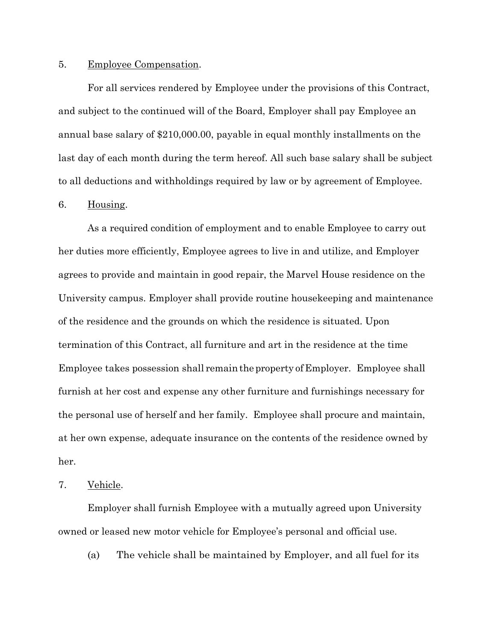#### 5. Employee Compensation.

For all services rendered by Employee under the provisions of this Contract, and subject to the continued will of the Board, Employer shall pay Employee an annual base salary of \$210,000.00, payable in equal monthly installments on the last day of each month during the term hereof. All such base salary shall be subject to all deductions and withholdings required by law or by agreement of Employee.

### 6. Housing.

As a required condition of employment and to enable Employee to carry out her duties more efficiently, Employee agrees to live in and utilize, and Employer agrees to provide and maintain in good repair, the Marvel House residence on the University campus. Employer shall provide routine housekeeping and maintenance of the residence and the grounds on which the residence is situated. Upon termination of this Contract, all furniture and art in the residence at the time Employee takes possession shall remain theproperty of Employer. Employee shall furnish at her cost and expense any other furniture and furnishings necessary for the personal use of herself and her family. Employee shall procure and maintain, at her own expense, adequate insurance on the contents of the residence owned by her.

## 7. Vehicle.

Employer shall furnish Employee with a mutually agreed upon University owned or leased new motor vehicle for Employee's personal and official use.

(a) The vehicle shall be maintained by Employer, and all fuel for its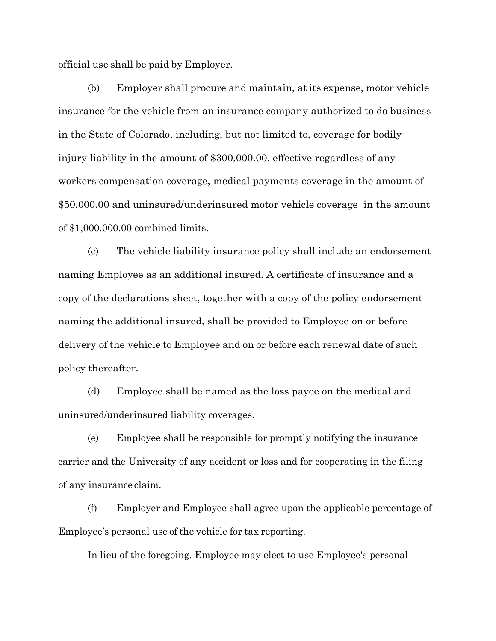official use shall be paid by Employer.

(b) Employer shall procure and maintain, at its expense, motor vehicle insurance for the vehicle from an insurance company authorized to do business in the State of Colorado, including, but not limited to, coverage for bodily injury liability in the amount of \$300,000.00, effective regardless of any workers compensation coverage, medical payments coverage in the amount of \$50,000.00 and uninsured/underinsured motor vehicle coverage in the amount of \$1,000,000.00 combined limits.

(c) The vehicle liability insurance policy shall include an endorsement naming Employee as an additional insured. A certificate of insurance and a copy of the declarations sheet, together with a copy of the policy endorsement naming the additional insured, shall be provided to Employee on or before delivery of the vehicle to Employee and on or before each renewal date of such policy thereafter.

(d) Employee shall be named as the loss payee on the medical and uninsured/underinsured liability coverages.

(e) Employee shall be responsible for promptly notifying the insurance carrier and the University of any accident or loss and for cooperating in the filing of any insurance claim.

(f) Employer and Employee shall agree upon the applicable percentage of Employee's personal use of the vehicle for tax reporting.

In lieu of the foregoing, Employee may elect to use Employee's personal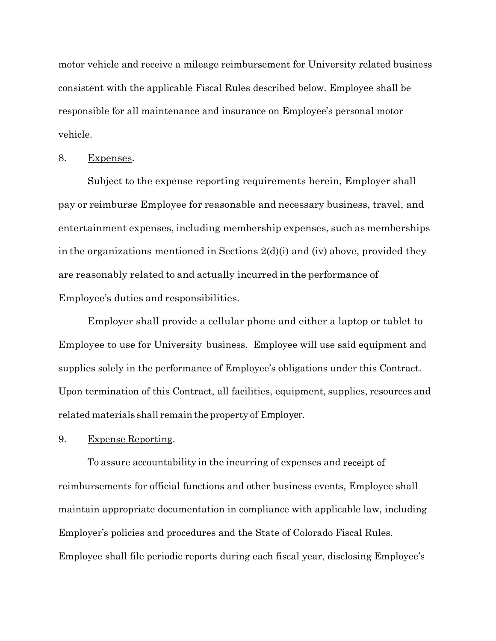motor vehicle and receive a mileage reimbursement for University related business consistent with the applicable Fiscal Rules described below. Employee shall be responsible for all maintenance and insurance on Employee's personal motor vehicle.

### 8. Expenses.

Subject to the expense reporting requirements herein, Employer shall pay or reimburse Employee for reasonable and necessary business, travel, and entertainment expenses, including membership expenses, such as memberships in the organizations mentioned in Sections 2(d)(i) and (iv) above, provided they are reasonably related to and actually incurred in the performance of Employee's duties and responsibilities.

Employer shall provide a cellular phone and either a laptop or tablet to Employee to use for University business. Employee will use said equipment and supplies solely in the performance of Employee's obligations under this Contract. Upon termination of this Contract, all facilities, equipment, supplies, resources and related materials shall remain the property of Employer.

9. Expense Reporting.

To assure accountability in the incurring of expenses and receipt of reimbursements for official functions and other business events, Employee shall maintain appropriate documentation in compliance with applicable law, including Employer's policies and procedures and the State of Colorado Fiscal Rules. Employee shall file periodic reports during each fiscal year, disclosing Employee's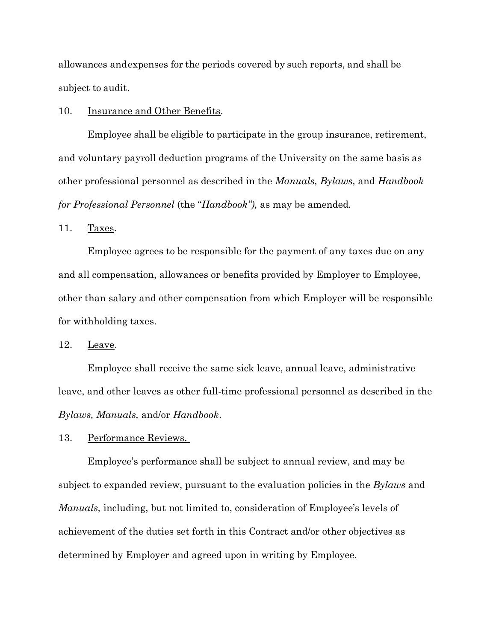allowances andexpenses for the periods covered by such reports, and shall be subject to audit.

## 10. Insurance and Other Benefits.

Employee shall be eligible to participate in the group insurance, retirement, and voluntary payroll deduction programs of the University on the same basis as other professional personnel as described in the *Manuals, Bylaws,* and *Handbook for Professional Personnel* (the "*Handbook"),* as may be amended*.*

11. Taxes.

Employee agrees to be responsible for the payment of any taxes due on any and all compensation, allowances or benefits provided by Employer to Employee, other than salary and other compensation from which Employer will be responsible for withholding taxes.

12. Leave.

Employee shall receive the same sick leave, annual leave, administrative leave, and other leaves as other full-time professional personnel as described in the *Bylaws, Manuals,* and/or *Handbook*.

13. Performance Reviews.

Employee's performance shall be subject to annual review, and may be subject to expanded review, pursuant to the evaluation policies in the *Bylaws* and *Manuals,* including, but not limited to, consideration of Employee's levels of achievement of the duties set forth in this Contract and/or other objectives as determined by Employer and agreed upon in writing by Employee.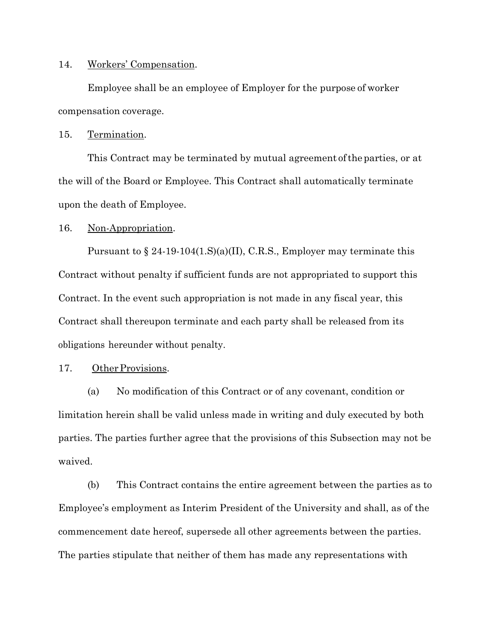#### 14. Workers' Compensation.

Employee shall be an employee of Employer for the purpose of worker compensation coverage.

#### 15. Termination.

This Contract may be terminated by mutual agreement ofthe parties, or at the will of the Board or Employee. This Contract shall automatically terminate upon the death of Employee.

### 16. Non-Appropriation.

Pursuant to  $\S 24-19-104(1.S)(a)(II)$ , C.R.S., Employer may terminate this Contract without penalty if sufficient funds are not appropriated to support this Contract. In the event such appropriation is not made in any fiscal year, this Contract shall thereupon terminate and each party shall be released from its obligations hereunder without penalty.

### 17. Other Provisions.

(a) No modification of this Contract or of any covenant, condition or limitation herein shall be valid unless made in writing and duly executed by both parties. The parties further agree that the provisions of this Subsection may not be waived.

(b) This Contract contains the entire agreement between the parties as to Employee's employment as Interim President of the University and shall, as of the commencement date hereof, supersede all other agreements between the parties. The parties stipulate that neither of them has made any representations with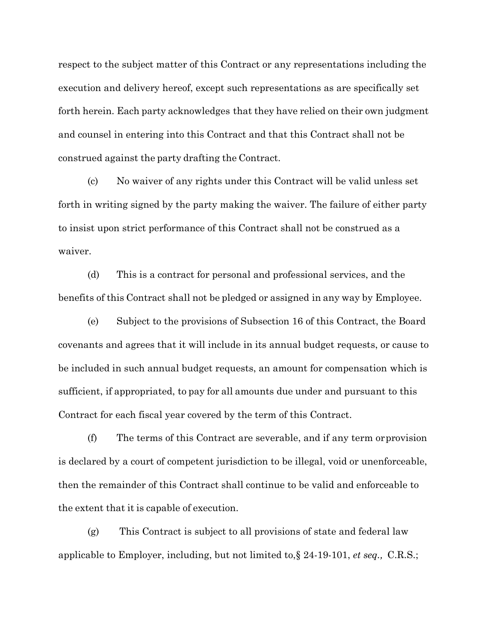respect to the subject matter of this Contract or any representations including the execution and delivery hereof, except such representations as are specifically set forth herein. Each party acknowledges that they have relied on their own judgment and counsel in entering into this Contract and that this Contract shall not be construed against the party drafting the Contract.

(c) No waiver of any rights under this Contract will be valid unless set forth in writing signed by the party making the waiver. The failure of either party to insist upon strict performance of this Contract shall not be construed as a waiver.

(d) This is a contract for personal and professional services, and the benefits of this Contract shall not be pledged or assigned in any way by Employee.

(e) Subject to the provisions of Subsection 16 of this Contract, the Board covenants and agrees that it will include in its annual budget requests, or cause to be included in such annual budget requests, an amount for compensation which is sufficient, if appropriated, to pay for all amounts due under and pursuant to this Contract for each fiscal year covered by the term of this Contract.

(f) The terms of this Contract are severable, and if any term orprovision is declared by a court of competent jurisdiction to be illegal, void or unenforceable, then the remainder of this Contract shall continue to be valid and enforceable to the extent that it is capable of execution.

(g) This Contract is subject to all provisions of state and federal law applicable to Employer, including, but not limited to,§ 24-19-101, *et seq.,* C.R.S.;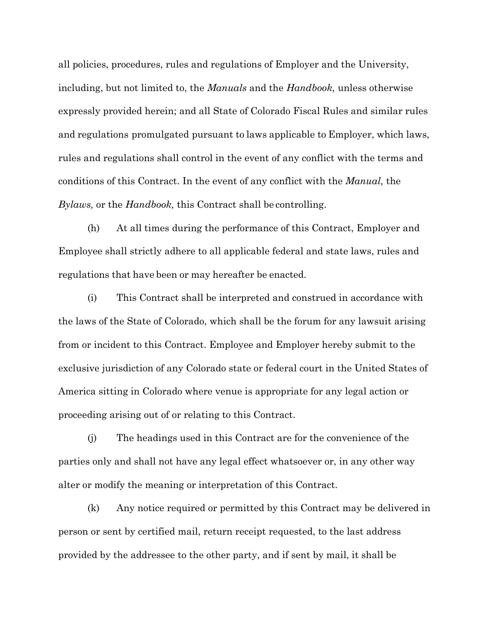all policies, procedures, rules and regulations of Employer and the University, including, but not limited to, the *Manuals* and the *Handbook,* unless otherwise expressly provided herein; and all State of Colorado Fiscal Rules and similar rules and regulations promulgated pursuant to laws applicable to Employer, which laws, rules and regulations shall control in the event of any conflict with the terms and conditions of this Contract. In the event of any conflict with the *Manual,* the *Bylaws,* or the *Handbook,* this Contract shall be controlling.

(h) At all times during the performance of this Contract, Employer and Employee shall strictly adhere to all applicable federal and state laws, rules and regulations that have been or may hereafter be enacted.

(i) This Contract shall be interpreted and construed in accordance with the laws of the State of Colorado, which shall be the forum for any lawsuit arising from or incident to this Contract. Employee and Employer hereby submit to the exclusive jurisdiction of any Colorado state or federal court in the United States of America sitting in Colorado where venue is appropriate for any legal action or proceeding arising out of or relating to this Contract.

(j) The headings used in this Contract are for the convenience of the parties only and shall not have any legal effect whatsoever or, in any other way alter or modify the meaning or interpretation of this Contract.

(k) Any notice required or permitted by this Contract may be delivered in person or sent by certified mail, return receipt requested, to the last address provided by the addressee to the other party, and if sent by mail, it shall be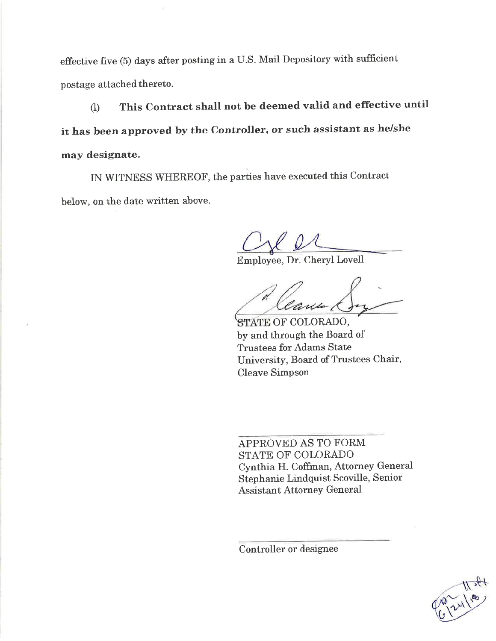effective five (5) days after posting in a U.S. Mail Depository with sufficient postage attached thereto.

This Contract shall not be deemed valid and effective until  $\left( \mathbf{I} \right)$ it has been approved by the Controller, or such assistant as he/she may designate.

IN WITNESS WHEREOF, the parties have executed this Contract below, on the date written above.

Employee, Dr. Cheryl Lovell

Can

STATE OF COLORADO, by and through the Board of **Trustees for Adams State** University, Board of Trustees Chair, **Cleave Simpson** 

APPROVED AS TO FORM STATE OF COLORADO Cynthia H. Coffman, Attorney General Stephanie Lindquist Scoville, Senior **Assistant Attorney General** 

Controller or designee

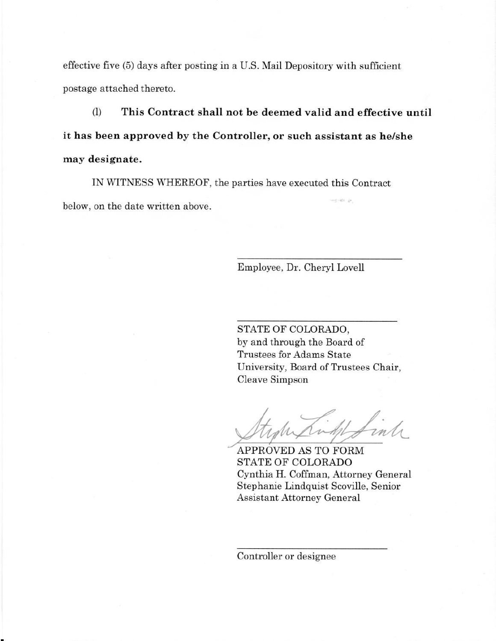effective five (5) days after posting in a U.S. Mail Depository with sufficient postage attached thereto.

(I) This Contract shall not be deemed valid and effective until it has been approved by the Controller, or such assistant as he/she may designate.

IN WITNESS WHEREOF, the parties have executed this Contract below, on the date written above.

Employee, Dr. Cheryl Lovell

STATE OF COLORADO, by and through the Board of Trustees for Adams State University, Board of Trustees Chair, Cleave Simpson

APPROVED AS TO FORM STATE OF COLORADO Cynthia H. Coffman, Attorney General Stephanie Lindquist Scoville, Senior **Assistant Attorney General** 

Controller or designee